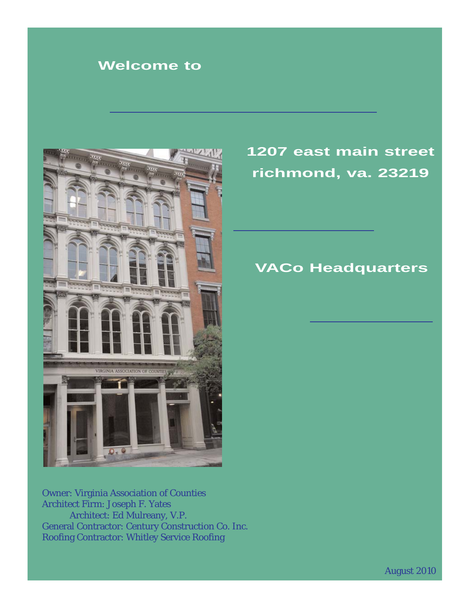## **Welcome to**



# **1207 east main street richmond, va. 23219**

### **VACo Headquarters**

Owner: Virginia Association of Counties Architect Firm: Joseph F. Yates Architect: Ed Mulreany, V.P. General Contractor: Century Construction Co. Inc. Roofing Contractor: Whitley Service Roofing

August 2010